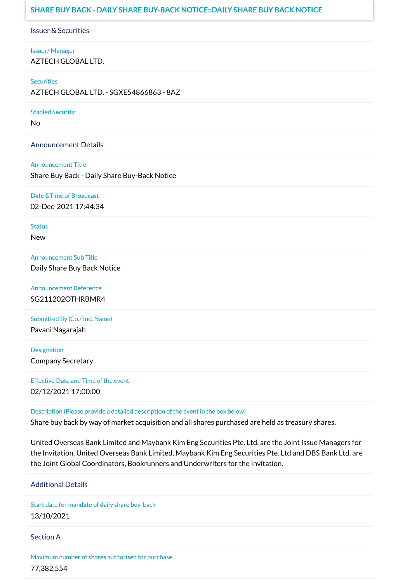# **SHARE BUY BACK - DAILY SHARE BUY-BACK NOTICE::DAILY SHARE BUY BACK NOTICE**

Issuer & Securities

Issuer/ Manager AZTECH GLOBAL LTD.

**Securities** 

AZTECH GLOBAL LTD. - SGXE54866863 - 8AZ

Stapled Security

No

Announcement Details

Announcement Title

Share Buy Back - Daily Share Buy-Back Notice

Date &Time of Broadcast 02-Dec-2021 17:44:34

Status

New

Announcement Sub Title Daily Share Buy Back Notice

Announcement Reference SG211202OTHRBMR4

Submitted By (Co./ Ind. Name)

Pavani Nagarajah

**Designation** Company Secretary

Effective Date and Time of the event 02/12/2021 17:00:00

Description (Please provide a detailed description of the event in the box below)

Share buy back by way of market acquisition and all shares purchased are held as treasury shares.

United Overseas Bank Limited and Maybank Kim Eng Securities Pte. Ltd. are the Joint Issue Managers for the Invitation. United Overseas Bank Limited, Maybank Kim Eng Securities Pte. Ltd and DBS Bank Ltd. are the Joint Global Coordinators, Bookrunners and Underwriters for the Invitation.

Additional Details

Start date for mandate of daily share buy-back 13/10/2021

Section A

Maximum number of shares authorised for purchase 77,382,554